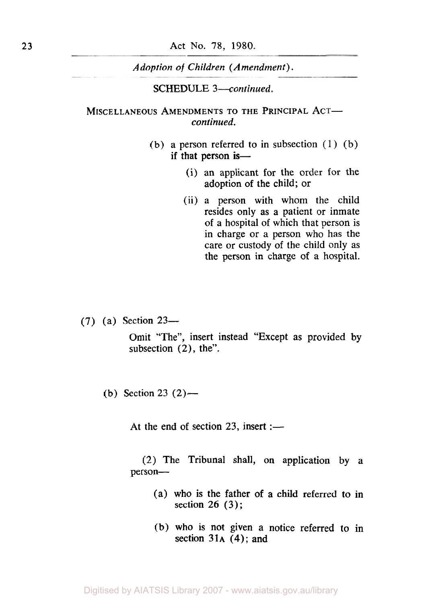*Adoption* **of** *Children (Amendment).* 

**SCHEDULE** *3-continued.* 

### MISCELLANEOUS AMENDMENTS TO THE PRINCIPAL ACT*continued.*

- (b) a person referred to in subsection  $(1)$  (b) if that person is-
	- (i) an applicant for the order for the adoption of the child; or
	- (ii) a person with whom the child resides only as a patient or inmate of a hospital of which that person is in charge or a person who has the care or custody of the child only as the person in charge of a hospital.

(7) (a) Section **23-** 

Omit "The", insert instead "Except as provided **by**  subsection **(2),** the".

(b) Section **23 (2)-** 

At the end of section  $23$ , insert :-

**(2)** The Tribunal shall, on application by a person-

- (a) who is the father of a child referred to in section 26 **(3);**
- (b) who is not given a notice referred to in section **31A (4);** and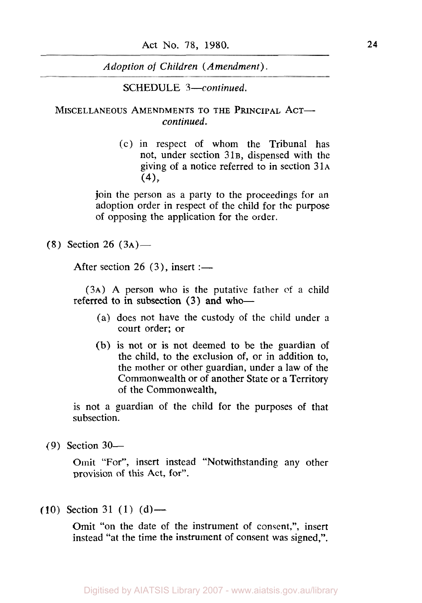*Adoption* of *Children (Amendment).* 

**SCHEDULE** *3-continued.* 

MISCELLANEOUS AMENDMENTS TO THE PRINCIPAL ACT*continued.* 

> (c) in respect of whom the Tribunal has not, under section **31B,** dispensed with the giving of a notice referred to in section **31A**   $(4)$ ,

join the person as a party to the proceedings for an adoption order in respect of the child for the purpose of opposing the application for the order.

**(8)** Section 26 **(3A)-** 

After section 26 (3), insert :-

**(3A) A** person who is the putative father of a child referred to in subsection (3) and who-

- (a) does not have the custody of the child under **a**  court order; or
- (b) **is** not or is not deemed to be the guardian of the child, to the exclusion of, or in addition to, the mother or other guardian, under a law of the Commonwealth or of another State or a Territory of the Commonwealth,

**is** not a guardian of the child for the purposes of that subsection.

(9) Section **30-** 

Omit "For", insert instead "Notwithstanding any other provision of this Act, for".

 $(10)$  Section 31  $(1)$   $(d)$ —

Omit "on the date of the instrument of consent,", insert instead "at the time the instrument of consent was signed,".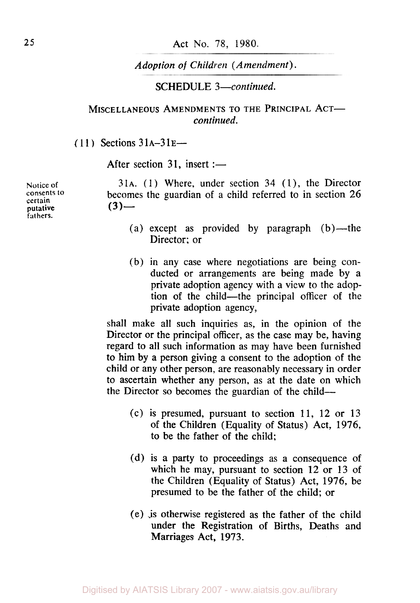# *Adoption of Children (Amendment).*

# SCHEDULE *3-continued.*

# MISCELLANEOUS AMENDMENTS TO THE PRINCIPAL ACT*continued.*

( **11** ) Sections **3 1A-3 1E-**

After section 31, insert :-

**certain fathers.**   $\frac{\text{putative}}{\text{putative}}$  (3) —

**Notice of** 31A. **(1)** Where, under section **34 (l),** the Director **consents** *to* becomes the guardian of a child referred to in section **26** 

- (a) except as provided by paragraph  $(b)$ —the Director: or
- (b) in any case where negotiations are being conducted or arrangements are being made by a private adoption agency with a view to the adoption of the child-the principal officer of the private adoption agency,

shall make all such inquiries as, in the opinion of the Director or the principal officer, as the case may be, having regard to all such information as may have been furnished to him **by** a person giving a consent to the adoption of the child or any other person, are reasonably necessary in order to ascertain whether any person, as at the date on which the Director so becomes the guardian of the child-

- (c) is presumed, pursuant to section **11, 12** or **13**  of the Children (Equality of Status) Act, **1976,**  to be the father of the child;
- (d) is a party to proceedings as a consequence of which he may, pursuant to section **12** or **13** of the Children (Equality of Status) Act, **1976,** be presumed to be the father of the child; or
- (e) is otherwise registered as the father of the child under the Registration of Births, Deaths and Marriages Act, **1973.**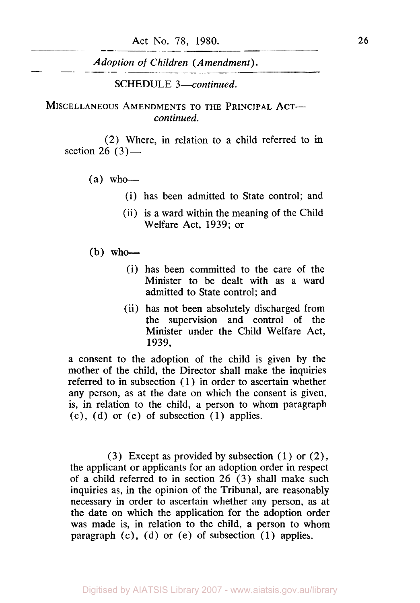*Adoption of Children (Amendment).* 

SCHEDULE *3-continued.* 

MISCELLANEOUS AMENDMENTS TO THE PRINCIPAL ACT*continued.* 

(2) Where, in relation to a child referred to in section 26 (3)-

- $(a)$  who-
	- (i) has been admitted to State control; and
	- (ii) is a ward within the meaning of the Child Welfare Act, *1939;* or

#### $(b)$  who-

- (i) has been committed to the care of the Minister to be dealt with as a ward admitted to State control; and
- (ii) has not been absolutely discharged from the supervision and control of the Minister under the Child Welfare Act, *1939,*

a consent to the adoption of the child is given by the mother of the child, the Director shall make the inquiries referred to in subsection (1) in order to ascertain whether any person, as at the date on which the consent is given, is, in relation to the child, a person to whom paragraph (c), **(d)** or (e) of subsection (1) applies.

**(3)** Except as provided by subsection ( *1* ) or *(2),*  the applicant or applicants for an adoption order in respect of a child referred to in section 26 *(3)* shall make such inquiries as, in the opinion of the Tribunal, are reasonably necessary in order to ascertain whether any person, as at the date on which the application for the adoption order was made is, in relation to the child, a person to whom paragraph (c), (d) or (e) of subsection **(1)** applies.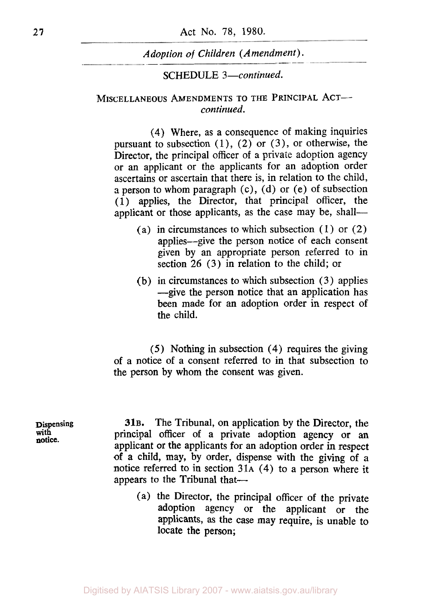### SCHEDULE *3-continued.*

### **MISCELLANEOUS AMENDMENTS TO THE PRINCIPAL** ACT*continued.*

**(4)** Where, as a consequence of making inquiries pursuant to subsection **(1), (2)** or **(3),** or otherwise, the Director, the principal officer of a private adoption agency or an applicant or the applicants for an adoption order ascertains or ascertain that there is, in relation to the child, a person to whom paragraph (c), (d) or (e) of subsection (1) applies, the Director, that principal officer, the applicant or those applicants, as the case may be, shall-

- (a) in circumstances to which subsection  $(1)$  or  $(2)$ applies-give the person notice **of** each consent given by an appropriate person referred to in section **26** (3) in relation to the child; or
- (b) in circumstances to which subsection (3) applies --give the person notice that an application has been made for an adoption order in respect of the child.

(5) Nothing in subsection **(4)** requires the giving of a notice **of** a consent referred to in that subsection to the person by whom the consent was given.

**Dispensing 31B.** The Tribunal, on application by the Director, the with **principal** officer of a private adoption agency or an applicant or the applicants for an adoption order in respect of a child, may, by order, dispense with the giving **of** a notice referred to in section **31A (4)** to a person where it appears to the Tribunal that-

> (a) the Director, the principal officer of the private adoption agency or the applicant or the applicants, as the case may require, is unable to locate the person;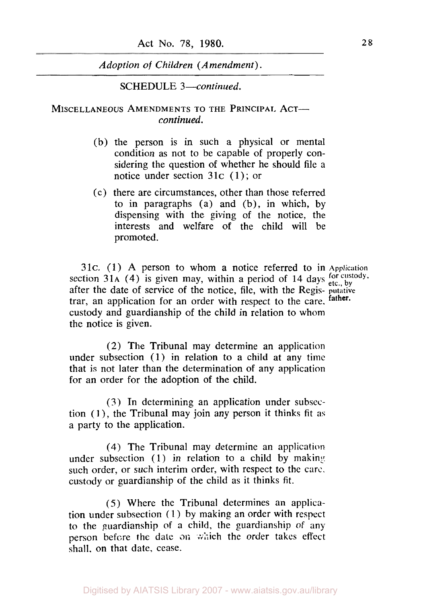**SCHEDULE 3**-continued.

#### **MISCELLANEOUS AMENDMENTS TO THE PRINCIPAL ACTcontinued.**

- (b) the person is in such a physical or mental condition as not to be capable of properly considering the question of whether he should file a notice under section **31c (1)** ; or
- (c) there are circumstances, other than those referred to in paragraphs (a) and (b), in which, by dispensing with the giving of the notice, the interests and welfare of the child will be promoted.

**31c. (1) A** person to whom a notice referred to in **Application**  section  $31A$  (4) is given may, within a period of  $14$  days  $\frac{60 \text{ ft} \cdot \text{cutoff}}{24 \text{ ft} \cdot \text{c}}$ , by after the date of service of the notice, file, with the Regis- **putative**  trar, an application for an order with respect to the care. **father.**  custody and guardianship of the child in relation to whom the notice is given.

(2) The Tribunal may determine an application under subsection **(1)** in relation to a child at any time that is not later than the determination of any application for an order for the adoption of the child.

**(3)** In determining an application under subsection **(1),** the Tribunal may join any person it thinks fit as a party to the application.

**(4)** The Tribunal may determine an application under subsection (1) in relation to a child by making such order, or such interim order, with respect to the care. custody or guardianship of the child as it thinks fit.

(5) Where the Tribunal determines an application under subsection (1) by making an order with respect to the guardianship of **a** child, the guardianship of any person before the date **on** which the order takes effect shall. on that date, cease.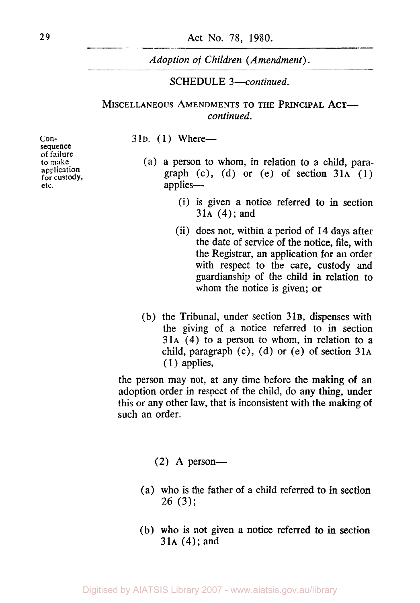# **SCHEDULE 3-continued.**

## **MISCELLANEOUS AMENDMENTS TO THE PRINCIPAL ACTcontinued.**

#### 31<sub>D</sub>. (1) Where-

**Consequence of** failure to **make application for custody. etc.** 

- (a) a person to whom, in relation to **a** child, paragraph (c), (d) or (e) **of** section **31A (1)**  applies-
	- (i) is given a notice referred **to** in section **31A (4);** and
	- (ii) does not, within a period of **14** days after the date of service of the notice, file, with the Registrar, an application for an order with respect to the care, custody and guardianship **of** the child in relation to whom the notice is given; **or**
- (b) the Tribunal, under section **31B,** dispenses with the giving of a notice referred to in section **31A (4)** to a person to whom, in relation to a child, paragraph (c), (d) or (e) of section **31A (1** ) applies,

the person may not, at any time before the making of an adoption order in respect of the child, do **any** thing, under this or any other law, that is inconsistent with the making of such an order.

- $(2)$  A person-
- (a) who is the father of a child referred **to in** section **26 (3);**
- (b) **who** is not given a notice referred to in section **31A (4);** and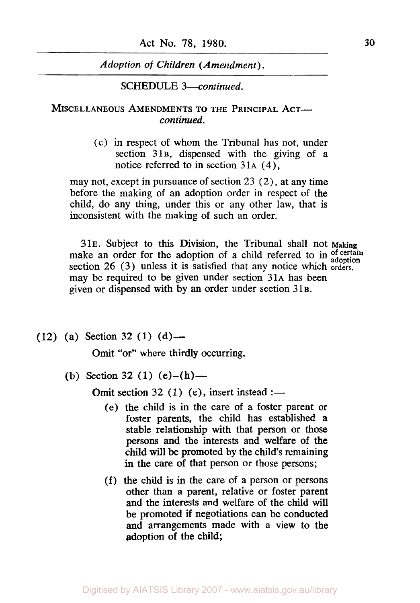**SCHEDULE** *3-continued.* 

MISCELLANEOUS AMENDMENTS TO THE PRINCIPAL ACT*continued.* 

> (c) in respect of whom the Tribunal has not, under section *31B,* dispensed with the giving of a notice referred to in section *3 1A* **(4),**

may not, except in pursuance of section 23 *(2),* at **any** time before the making of an adoption order in respect of the child, do any thing, under this or any other law, that is inconsistent with the making of such an order.

*31E.* Subject to this Division, the Tribunal shall not **Making**  make an order for the adoption of a child referred to in of certain adoption section 26 (3) unless it is satisfied that any notice which orders. may be required to be given under section *31A* has been given or dispensed with by an order under section *31B.* 

 $(12)$  (a) Section 32 (1) (d) —

Omit "or" where thirdly occurring.

(b) Section 32 (1)  $(e)$ - $(h)$ -

Omit section 32  $(1)$  (e), insert instead :-

- (e) the child is in the care of a foster parent or foster parents, the child has established **a**  stable relationship with that person or those persons and the interests and welfare of **the**  child will be promoted by the child's remaining in the care of that person or those persons;
- (f) the child is in the care of a person or persons other than a parent, relative or foster parent and the interests and welfare of the child will be promoted if negotiations can be conducted and arrangements made with a view to the adoption of the child;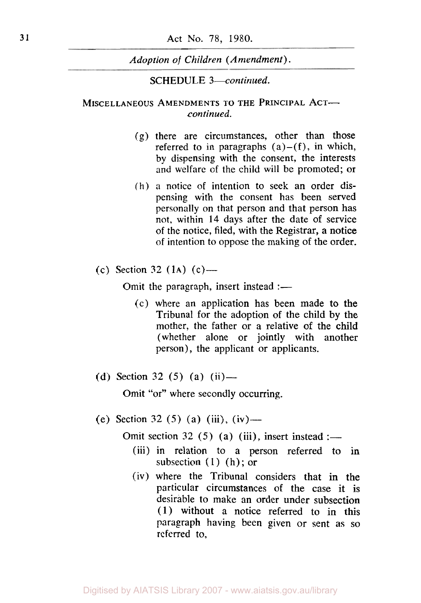**SCHEDULE** *3-continued.* 

### **MISCELLANEOUS AMENDMENTS TO THE PRINCIPAL ACT***continued.*

- (g) there are circumstances, other than those referred to in paragraphs  $(a)$ - $(f)$ , in which, by dispensing with the consent, the interests and welfare of the child will be promoted; or
- (h) **a** notice of intention to seek an order dispensing with the consent has been served personally on that person and that person has not, within **14** days after the date of service of the notice, filed, with the Registrar, a notice of intention to oppose the making of the order.
- (c) Section 32 **(1A)** (c)-

Omit the paragraph, insert instead  $:=$ 

- (c) where an application has been made to the Tribunal for the adoption of the child **by** the mother, the father or a relative of the child (whether alone or jointly with another person), the applicant or applicants.
- (d) Section 32 *(5)* (a) (ii)-

Omit "or" where secondly occurring.

(e) Section 32 *(5)* (a) (iii), (iv)-

Omit section 32 (5) (a) (iii), insert instead :—

- (iii) in relation to a person referred to **in**  subsection  $(1)$   $(h)$ ; or
- (iv) where the Tribunal considers that in the particular circumstances of the case it **is**  desirable to make an order under subsection (1) without a notice referred to in this paragraph having been given or sent as so referred to,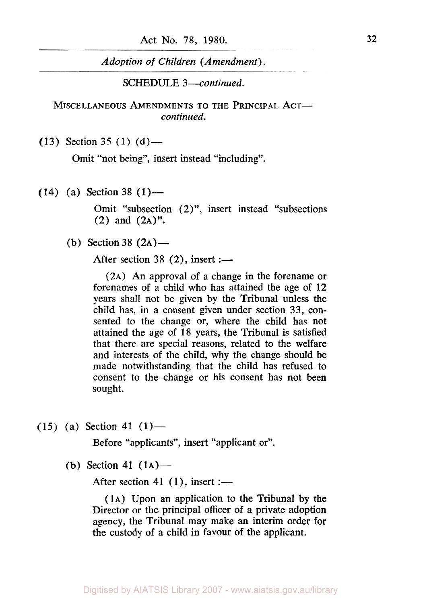Adoption of Children (Amendment).

**SCHEDULE 3-continued.** 

MISCELLANEOUS AMENDMENTS TO THE PRINCIPAL ACTcontinued.

(13) Section 35 (1) (d) —

Omit "not being", insert instead "including".

**(14)** (a) Section **38 (1)-** 

Omit "subsection (2)", insert instead "subsections **(2)** and **(2A)".** 

(b) Section 38 (2A) —

After section 38 (2), insert :-

(2A) An approval of a change in the forename or forenames of a child who has attained the age of **12**  years shall not be given by the Tribunal unless the child has, in a consent given under section 33, consented to the change or, where the child has not attained the age of **18** years, the Tribunal is satisfied that there are special reasons, related to the welfare and interests of the child, why the change should be made notwithstanding that the child has refused to consent to the change or his consent has not been sought.

 $(15)$   $(a)$  Section 41  $(1)$ —

Before "applicants", insert "applicant or".

(b) Section **41 (1A)-** 

After section 41 (1), insert :-

(1A) Upon an application to the Tribunal by the Director or the principal officer of a private adoption agency, the Tribunal may make an interim order for the custody of a child in favour of the applicant.